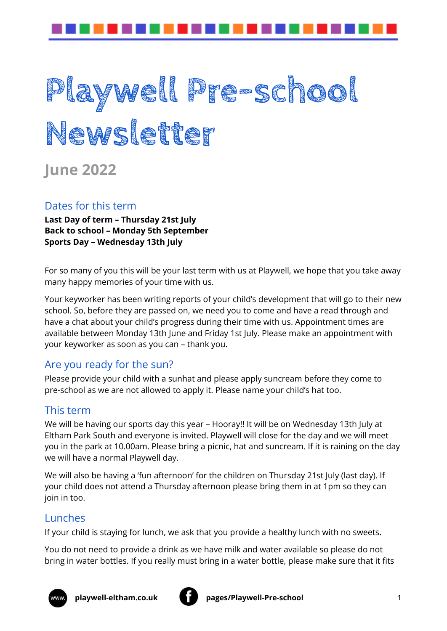

# **Playwell Pre-school Newsletter**

**June 2022**

# Dates for this term

**Last Day of term – Thursday 21st July Back to school – Monday 5th September Sports Day – Wednesday 13th July**

For so many of you this will be your last term with us at Playwell, we hope that you take away many happy memories of your time with us.

Your keyworker has been writing reports of your child's development that will go to their new school. So, before they are passed on, we need you to come and have a read through and have a chat about your child's progress during their time with us. Appointment times are available between Monday 13th June and Friday 1st July. Please make an appointment with your keyworker as soon as you can – thank you.

# Are you ready for the sun?

Please provide your child with a sunhat and please apply suncream before they come to pre-school as we are not allowed to apply it. Please name your child's hat too.

# This term

We will be having our sports day this year – Hooray!! It will be on Wednesday 13th July at Eltham Park South and everyone is invited. Playwell will close for the day and we will meet you in the park at 10.00am. Please bring a picnic, hat and suncream. If it is raining on the day we will have a normal Playwell day.

We will also be having a 'fun afternoon' for the children on Thursday 21st July (last day). If your child does not attend a Thursday afternoon please bring them in at 1pm so they can join in too.

# **Lunches**

If your child is staying for lunch, we ask that you provide a healthy lunch with no sweets.

You do not need to provide a drink as we have milk and water available so please do not bring in water bottles. If you really must bring in a water bottle, please make sure that it fits